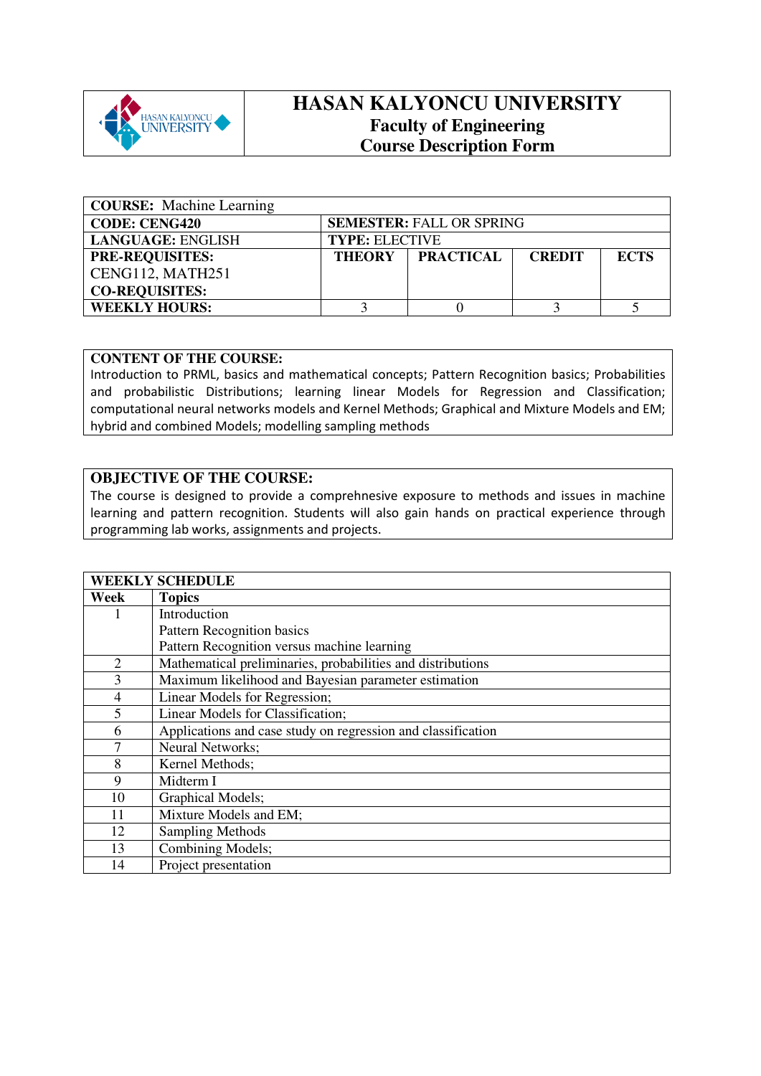

## **HASAN KALYONCU UNIVERSITY Faculty of Engineering Course Description Form**

| <b>COURSE:</b> Machine Learning |                                 |                  |               |             |  |
|---------------------------------|---------------------------------|------------------|---------------|-------------|--|
| <b>CODE: CENG420</b>            | <b>SEMESTER: FALL OR SPRING</b> |                  |               |             |  |
| <b>LANGUAGE: ENGLISH</b>        | <b>TYPE: ELECTIVE</b>           |                  |               |             |  |
| <b>PRE-REQUISITES:</b>          | <b>THEORY</b>                   | <b>PRACTICAL</b> | <b>CREDIT</b> | <b>ECTS</b> |  |
| CENG112, MATH251                |                                 |                  |               |             |  |
| <b>CO-REQUISITES:</b>           |                                 |                  |               |             |  |
| <b>WEEKLY HOURS:</b>            |                                 |                  |               |             |  |

## **CONTENT OF THE COURSE:**

Introduction to PRML, basics and mathematical concepts; Pattern Recognition basics; Probabilities and probabilistic Distributions; learning linear Models for Regression and Classification; computational neural networks models and Kernel Methods; Graphical and Mixture Models and EM; hybrid and combined Models; modelling sampling methods

## **OBJECTIVE OF THE COURSE:**

The course is designed to provide a comprehnesive exposure to methods and issues in machine learning and pattern recognition. Students will also gain hands on practical experience through programming lab works, assignments and projects.

|                | <b>WEEKLY SCHEDULE</b>                                       |  |  |
|----------------|--------------------------------------------------------------|--|--|
| Week           | <b>Topics</b>                                                |  |  |
|                | Introduction                                                 |  |  |
|                | Pattern Recognition basics                                   |  |  |
|                | Pattern Recognition versus machine learning                  |  |  |
| 2              | Mathematical preliminaries, probabilities and distributions  |  |  |
| 3              | Maximum likelihood and Bayesian parameter estimation         |  |  |
| $\overline{4}$ | Linear Models for Regression;                                |  |  |
| 5              | Linear Models for Classification;                            |  |  |
| 6              | Applications and case study on regression and classification |  |  |
| 7              | Neural Networks;                                             |  |  |
| 8              | Kernel Methods;                                              |  |  |
| 9              | Midterm I                                                    |  |  |
| 10             | Graphical Models;                                            |  |  |
| 11             | Mixture Models and EM;                                       |  |  |
| 12             | <b>Sampling Methods</b>                                      |  |  |
| 13             | Combining Models;                                            |  |  |
| 14             | Project presentation                                         |  |  |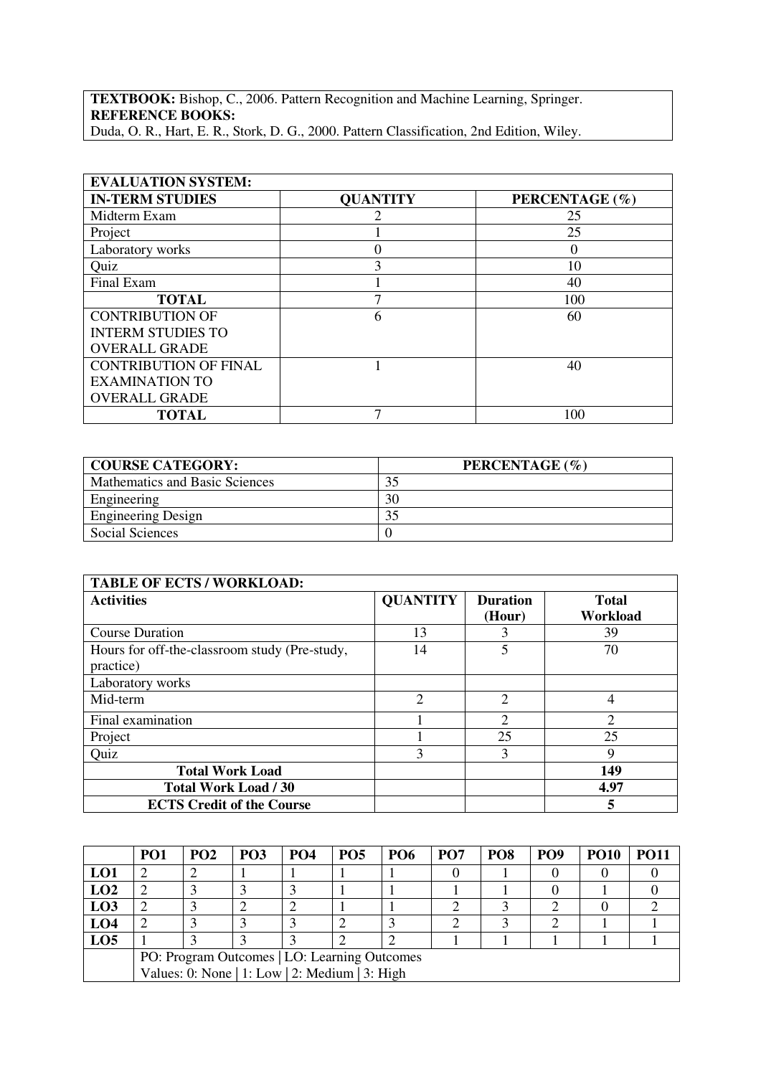**TEXTBOOK:** Bishop, C., 2006. Pattern Recognition and Machine Learning, Springer. **REFERENCE BOOKS:**  Duda, O. R., Hart, E. R., Stork, D. G., 2000. Pattern Classification, 2nd Edition, Wiley.

| <b>EVALUATION SYSTEM:</b>    |                 |                |  |  |  |
|------------------------------|-----------------|----------------|--|--|--|
| <b>IN-TERM STUDIES</b>       | <b>QUANTITY</b> | PERCENTAGE (%) |  |  |  |
| Midterm Exam                 |                 | 25             |  |  |  |
| Project                      |                 | 25             |  |  |  |
| Laboratory works             |                 | $\theta$       |  |  |  |
| Quiz                         | 3               | 10             |  |  |  |
| Final Exam                   |                 | 40             |  |  |  |
| <b>TOTAL</b>                 |                 | 100            |  |  |  |
| <b>CONTRIBUTION OF</b>       | 6               | 60             |  |  |  |
| <b>INTERM STUDIES TO</b>     |                 |                |  |  |  |
| <b>OVERALL GRADE</b>         |                 |                |  |  |  |
| <b>CONTRIBUTION OF FINAL</b> |                 | 40             |  |  |  |
| <b>EXAMINATION TO</b>        |                 |                |  |  |  |
| <b>OVERALL GRADE</b>         |                 |                |  |  |  |
| <b>TOTAL</b>                 |                 | 100            |  |  |  |

| <b>COURSE CATEGORY:</b>        | PERCENTAGE (%) |
|--------------------------------|----------------|
| Mathematics and Basic Sciences |                |
| Engineering                    | 30             |
| <b>Engineering Design</b>      |                |
| Social Sciences                |                |

| <b>TABLE OF ECTS / WORKLOAD:</b>                           |                 |                             |                          |  |  |
|------------------------------------------------------------|-----------------|-----------------------------|--------------------------|--|--|
| <b>Activities</b>                                          | <b>QUANTITY</b> | <b>Duration</b><br>(Hour)   | <b>Total</b><br>Workload |  |  |
| <b>Course Duration</b>                                     | 13              |                             | 39                       |  |  |
| Hours for off-the-classroom study (Pre-study,<br>practice) | 14              |                             | 70                       |  |  |
| Laboratory works                                           |                 |                             |                          |  |  |
| Mid-term                                                   | $\overline{2}$  | $\mathcal{D}_{\mathcal{L}}$ | 4                        |  |  |
| Final examination                                          |                 | $\mathcal{D}_{\mathcal{L}}$ | $\overline{2}$           |  |  |
| Project                                                    |                 | 25                          | 25                       |  |  |
| Quiz                                                       | 3               | 3                           | 9                        |  |  |
| <b>Total Work Load</b>                                     |                 |                             | 149                      |  |  |
| <b>Total Work Load / 30</b>                                |                 |                             | 4.97                     |  |  |
| <b>ECTS Credit of the Course</b>                           |                 |                             | 5                        |  |  |

|                 | PO <sub>1</sub>                                | PO <sub>2</sub> | PO <sub>3</sub> | <b>PO4</b> | PO <sub>5</sub> | <b>PO6</b> | PO <sub>7</sub> | PO <sub>8</sub> | PO <sub>9</sub> | <b>PO10</b> | <b>PO11</b> |
|-----------------|------------------------------------------------|-----------------|-----------------|------------|-----------------|------------|-----------------|-----------------|-----------------|-------------|-------------|
| LO1             |                                                |                 |                 |            |                 |            |                 |                 |                 |             |             |
| LO2             |                                                |                 |                 |            |                 |            |                 |                 |                 |             |             |
| LO <sub>3</sub> |                                                |                 |                 |            |                 |            |                 |                 |                 |             |             |
| LO <sub>4</sub> |                                                |                 |                 |            |                 |            |                 |                 |                 |             |             |
| LO <sub>5</sub> |                                                |                 |                 |            |                 |            |                 |                 |                 |             |             |
|                 | PO: Program Outcomes   LO: Learning Outcomes   |                 |                 |            |                 |            |                 |                 |                 |             |             |
|                 | Values: 0: None   1: Low   2: Medium   3: High |                 |                 |            |                 |            |                 |                 |                 |             |             |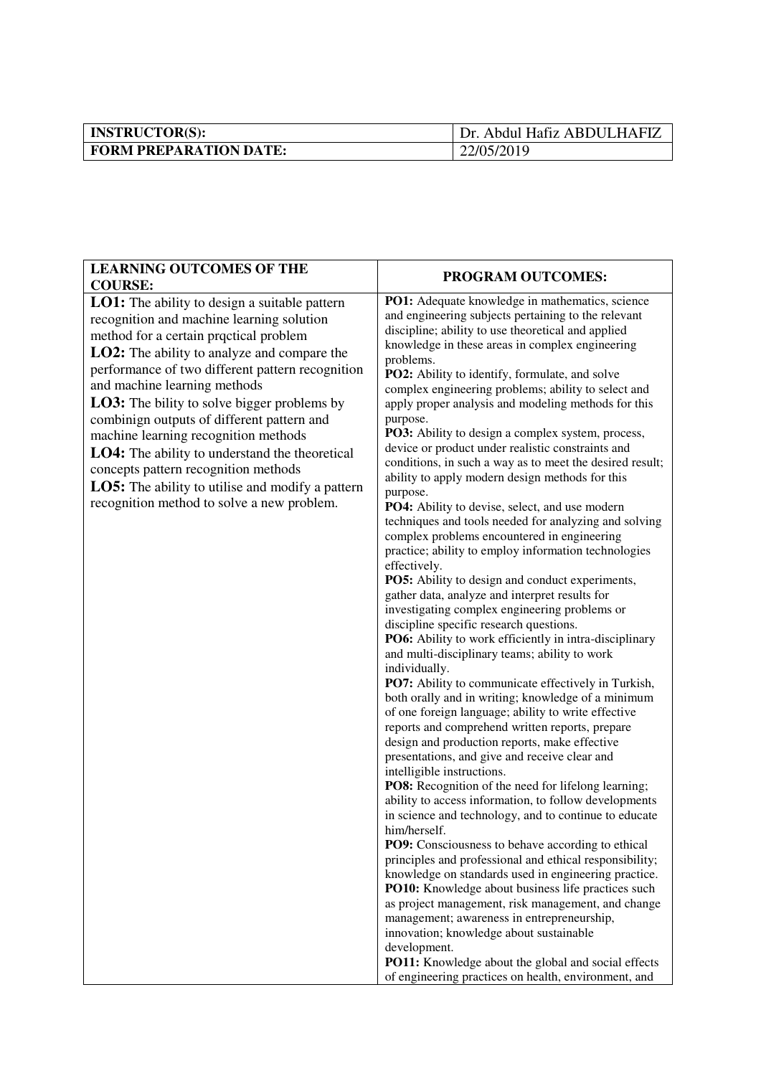| <b>INSTRUCTOR(S):</b>         | Dr. Abdul Hafiz ABDULHAFIZ |
|-------------------------------|----------------------------|
| <b>FORM PREPARATION DATE:</b> | 22/05/2019                 |

| <b>LEARNING OUTCOMES OF THE</b>                                                                                                                                                                                                                                                                                                                                                                                                                                                                                                                                                                                               | PROGRAM OUTCOMES:                                                                                                                                                                                                                                                                                                                                                                                                                                                                                                                                                                                                                                                                                                                                                                                                                                                                                                                                                                                                                                                                                                                                                                                                                                                                                                                                                                                                                                                                                                                                                                                                                                                                                                                                                                                                                                                                                                                                                                                                                                                                                                                                                                                                       |
|-------------------------------------------------------------------------------------------------------------------------------------------------------------------------------------------------------------------------------------------------------------------------------------------------------------------------------------------------------------------------------------------------------------------------------------------------------------------------------------------------------------------------------------------------------------------------------------------------------------------------------|-------------------------------------------------------------------------------------------------------------------------------------------------------------------------------------------------------------------------------------------------------------------------------------------------------------------------------------------------------------------------------------------------------------------------------------------------------------------------------------------------------------------------------------------------------------------------------------------------------------------------------------------------------------------------------------------------------------------------------------------------------------------------------------------------------------------------------------------------------------------------------------------------------------------------------------------------------------------------------------------------------------------------------------------------------------------------------------------------------------------------------------------------------------------------------------------------------------------------------------------------------------------------------------------------------------------------------------------------------------------------------------------------------------------------------------------------------------------------------------------------------------------------------------------------------------------------------------------------------------------------------------------------------------------------------------------------------------------------------------------------------------------------------------------------------------------------------------------------------------------------------------------------------------------------------------------------------------------------------------------------------------------------------------------------------------------------------------------------------------------------------------------------------------------------------------------------------------------------|
| <b>COURSE:</b>                                                                                                                                                                                                                                                                                                                                                                                                                                                                                                                                                                                                                |                                                                                                                                                                                                                                                                                                                                                                                                                                                                                                                                                                                                                                                                                                                                                                                                                                                                                                                                                                                                                                                                                                                                                                                                                                                                                                                                                                                                                                                                                                                                                                                                                                                                                                                                                                                                                                                                                                                                                                                                                                                                                                                                                                                                                         |
| LO1: The ability to design a suitable pattern<br>recognition and machine learning solution<br>method for a certain proctical problem<br>LO2: The ability to analyze and compare the<br>performance of two different pattern recognition<br>and machine learning methods<br><b>LO3:</b> The bility to solve bigger problems by<br>combinign outputs of different pattern and<br>machine learning recognition methods<br><b>LO4:</b> The ability to understand the theoretical<br>concepts pattern recognition methods<br><b>LO5:</b> The ability to utilise and modify a pattern<br>recognition method to solve a new problem. | PO1: Adequate knowledge in mathematics, science<br>and engineering subjects pertaining to the relevant<br>discipline; ability to use theoretical and applied<br>knowledge in these areas in complex engineering<br>problems.<br>PO2: Ability to identify, formulate, and solve<br>complex engineering problems; ability to select and<br>apply proper analysis and modeling methods for this<br>purpose.<br>PO3: Ability to design a complex system, process,<br>device or product under realistic constraints and<br>conditions, in such a way as to meet the desired result;<br>ability to apply modern design methods for this<br>purpose.<br>PO4: Ability to devise, select, and use modern<br>techniques and tools needed for analyzing and solving<br>complex problems encountered in engineering<br>practice; ability to employ information technologies<br>effectively.<br>PO5: Ability to design and conduct experiments,<br>gather data, analyze and interpret results for<br>investigating complex engineering problems or<br>discipline specific research questions.<br>PO6: Ability to work efficiently in intra-disciplinary<br>and multi-disciplinary teams; ability to work<br>individually.<br>PO7: Ability to communicate effectively in Turkish,<br>both orally and in writing; knowledge of a minimum<br>of one foreign language; ability to write effective<br>reports and comprehend written reports, prepare<br>design and production reports, make effective<br>presentations, and give and receive clear and<br>intelligible instructions.<br>PO8: Recognition of the need for lifelong learning;<br>ability to access information, to follow developments<br>in science and technology, and to continue to educate<br>him/herself.<br><b>PO9:</b> Consciousness to behave according to ethical<br>principles and professional and ethical responsibility;<br>knowledge on standards used in engineering practice.<br>PO10: Knowledge about business life practices such<br>as project management, risk management, and change<br>management; awareness in entrepreneurship,<br>innovation; knowledge about sustainable<br>development.<br>PO11: Knowledge about the global and social effects |
|                                                                                                                                                                                                                                                                                                                                                                                                                                                                                                                                                                                                                               | of engineering practices on health, environment, and                                                                                                                                                                                                                                                                                                                                                                                                                                                                                                                                                                                                                                                                                                                                                                                                                                                                                                                                                                                                                                                                                                                                                                                                                                                                                                                                                                                                                                                                                                                                                                                                                                                                                                                                                                                                                                                                                                                                                                                                                                                                                                                                                                    |